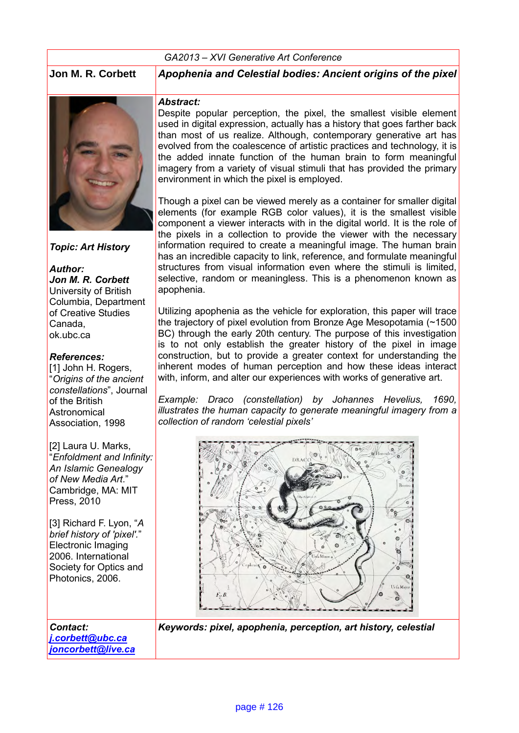#### *GA2013 – XVI Generative Art Conference*

**Jon M. R. Corbett** *Apophenia and Celestial bodies: Ancient origins of the pixel*



*Topic: Art History*

*Author: Jon M. R. Corbett* University of British Columbia, Department of Creative Studies Canada, ok.ubc.ca

#### *References:*

[1] John H. Rogers, "*Origins of the ancient constellations*", Journal of the British **Astronomical** Association, 1998

[2] Laura U. Marks, "*Enfoldment and Infinity: An Islamic Genealogy of New Media Art*." Cambridge, MA: MIT Press, 2010

[3] Richard F. Lyon, "*A brief history of 'pixel'.*" Electronic Imaging 2006. International Society for Optics and Photonics, 2006.

*Contact:* 

*[j.corbett@ubc.ca](mailto:j.corbett@ubc.ca)  [joncorbett@live.ca](mailto:joncorbett@live.ca)*

#### *Abstract:*

Despite popular perception, the pixel, the smallest visible element used in digital expression, actually has a history that goes farther back than most of us realize. Although, contemporary generative art has evolved from the coalescence of artistic practices and technology, it is the added innate function of the human brain to form meaningful imagery from a variety of visual stimuli that has provided the primary environment in which the pixel is employed.

Though a pixel can be viewed merely as a container for smaller digital elements (for example RGB color values), it is the smallest visible component a viewer interacts with in the digital world. It is the role of the pixels in a collection to provide the viewer with the necessary information required to create a meaningful image. The human brain has an incredible capacity to link, reference, and formulate meaningful structures from visual information even where the stimuli is limited, selective, random or meaningless. This is a phenomenon known as apophenia.

Utilizing apophenia as the vehicle for exploration, this paper will trace the trajectory of pixel evolution from Bronze Age Mesopotamia (~1500 BC) through the early 20th century. The purpose of this investigation is to not only establish the greater history of the pixel in image construction, but to provide a greater context for understanding the inherent modes of human perception and how these ideas interact with, inform, and alter our experiences with works of generative art.

*Example: Draco (constellation) by Johannes Hevelius, 1690, illustrates the human capacity to generate meaningful imagery from a collection of random 'celestial pixels'* 



*Keywords: pixel, apophenia, perception, art history, celestial*

page # 126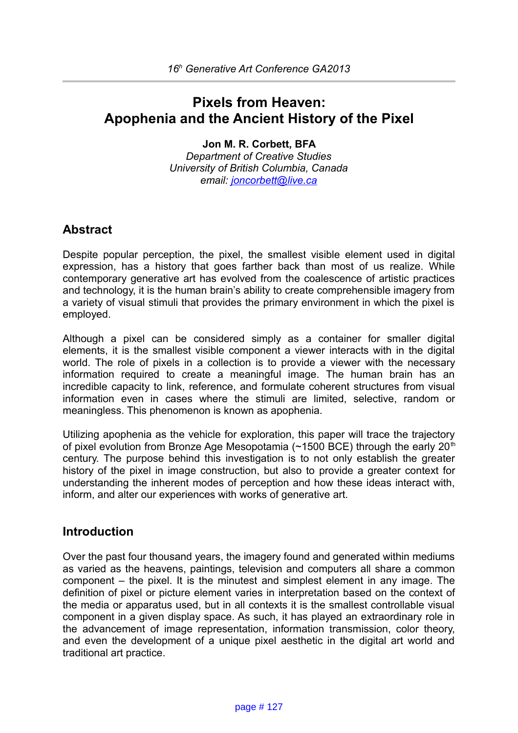# **Pixels from Heaven: Apophenia and the Ancient History of the Pixel**

#### **Jon M. R. Corbett, BFA**

*Department of Creative Studies University of British Columbia, Canada email: [joncorbett@live.ca](mailto:joncorbett@live.ca)*

### **Abstract**

Despite popular perception, the pixel, the smallest visible element used in digital expression, has a history that goes farther back than most of us realize. While contemporary generative art has evolved from the coalescence of artistic practices and technology, it is the human brain's ability to create comprehensible imagery from a variety of visual stimuli that provides the primary environment in which the pixel is employed.

Although a pixel can be considered simply as a container for smaller digital elements, it is the smallest visible component a viewer interacts with in the digital world. The role of pixels in a collection is to provide a viewer with the necessary information required to create a meaningful image. The human brain has an incredible capacity to link, reference, and formulate coherent structures from visual information even in cases where the stimuli are limited, selective, random or meaningless. This phenomenon is known as apophenia.

Utilizing apophenia as the vehicle for exploration, this paper will trace the trajectory of pixel evolution from Bronze Age Mesopotamia ( $\sim$ 1500 BCE) through the early 20<sup>th</sup> century. The purpose behind this investigation is to not only establish the greater history of the pixel in image construction, but also to provide a greater context for understanding the inherent modes of perception and how these ideas interact with, inform, and alter our experiences with works of generative art.

### **Introduction**

Over the past four thousand years, the imagery found and generated within mediums as varied as the heavens, paintings, television and computers all share a common component – the pixel. It is the minutest and simplest element in any image. The definition of pixel or picture element varies in interpretation based on the context of the media or apparatus used, but in all contexts it is the smallest controllable visual component in a given display space. As such, it has played an extraordinary role in the advancement of image representation, information transmission, color theory, and even the development of a unique pixel aesthetic in the digital art world and traditional art practice.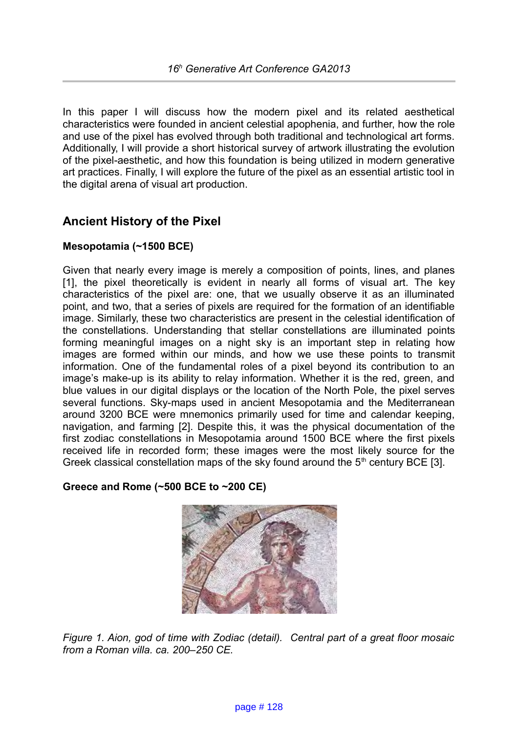In this paper I will discuss how the modern pixel and its related aesthetical characteristics were founded in ancient celestial apophenia, and further, how the role and use of the pixel has evolved through both traditional and technological art forms. Additionally, I will provide a short historical survey of artwork illustrating the evolution of the pixel-aesthetic, and how this foundation is being utilized in modern generative art practices. Finally, I will explore the future of the pixel as an essential artistic tool in the digital arena of visual art production.

## **Ancient History of the Pixel**

### **Mesopotamia (~1500 BCE)**

Given that nearly every image is merely a composition of points, lines, and planes [1], the pixel theoretically is evident in nearly all forms of visual art. The key characteristics of the pixel are: one, that we usually observe it as an illuminated point, and two, that a series of pixels are required for the formation of an identifiable image. Similarly, these two characteristics are present in the celestial identification of the constellations. Understanding that stellar constellations are illuminated points forming meaningful images on a night sky is an important step in relating how images are formed within our minds, and how we use these points to transmit information. One of the fundamental roles of a pixel beyond its contribution to an image's make-up is its ability to relay information. Whether it is the red, green, and blue values in our digital displays or the location of the North Pole, the pixel serves several functions. Sky-maps used in ancient Mesopotamia and the Mediterranean around 3200 BCE were mnemonics primarily used for time and calendar keeping, navigation, and farming [2]. Despite this, it was the physical documentation of the first zodiac constellations in Mesopotamia around 1500 BCE where the first pixels received life in recorded form; these images were the most likely source for the Greek classical constellation maps of the sky found around the  $5<sup>th</sup>$  century BCE [3].

### **Greece and Rome (~500 BCE to ~200 CE)**



*Figure 1. Aion, god of time with Zodiac (detail). Central part of a great floor mosaic from a Roman villa. ca. 200–250 CE.*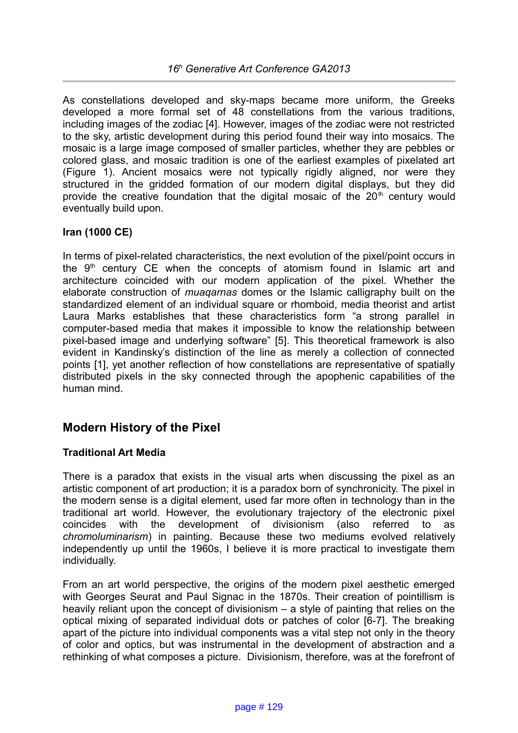As constellations developed and sky-maps became more uniform, the Greeks developed a more formal set of 48 constellations from the various traditions, including images of the zodiac [4]. However, images of the zodiac were not restricted to the sky, artistic development during this period found their way into mosaics. The mosaic is a large image composed of smaller particles, whether they are pebbles or colored glass, and mosaic tradition is one of the earliest examples of pixelated art (Figure 1). Ancient mosaics were not typically rigidly aligned, nor were they structured in the gridded formation of our modern digital displays, but they did provide the creative foundation that the digital mosaic of the  $20<sup>th</sup>$  century would eventually build upon.

### **Iran (1000 CE)**

In terms of pixel-related characteristics, the next evolution of the pixel/point occurs in the  $9<sup>th</sup>$  century CE when the concepts of atomism found in Islamic art and architecture coincided with our modern application of the pixel. Whether the elaborate construction of *muaqarnas* domes or the Islamic calligraphy built on the standardized element of an individual square or rhomboid, media theorist and artist Laura Marks establishes that these characteristics form "a strong parallel in computer-based media that makes it impossible to know the relationship between pixel-based image and underlying software" [5]. This theoretical framework is also evident in Kandinsky's distinction of the line as merely a collection of connected points [1], yet another reflection of how constellations are representative of spatially distributed pixels in the sky connected through the apophenic capabilities of the human mind.

### **Modern History of the Pixel**

#### **Traditional Art Media**

There is a paradox that exists in the visual arts when discussing the pixel as an artistic component of art production; it is a paradox born of synchronicity. The pixel in the modern sense is a digital element, used far more often in technology than in the traditional art world. However, the evolutionary trajectory of the electronic pixel coincides with the development of divisionism (also referred to as *chromoluminarism*) in painting. Because these two mediums evolved relatively independently up until the 1960s, I believe it is more practical to investigate them individually.

From an art world perspective, the origins of the modern pixel aesthetic emerged with Georges Seurat and Paul Signac in the 1870s. Their creation of pointillism is heavily reliant upon the concept of divisionism – a style of painting that relies on the optical mixing of separated individual dots or patches of color [6-7]. The breaking apart of the picture into individual components was a vital step not only in the theory of color and optics, but was instrumental in the development of abstraction and a rethinking of what composes a picture. Divisionism, therefore, was at the forefront of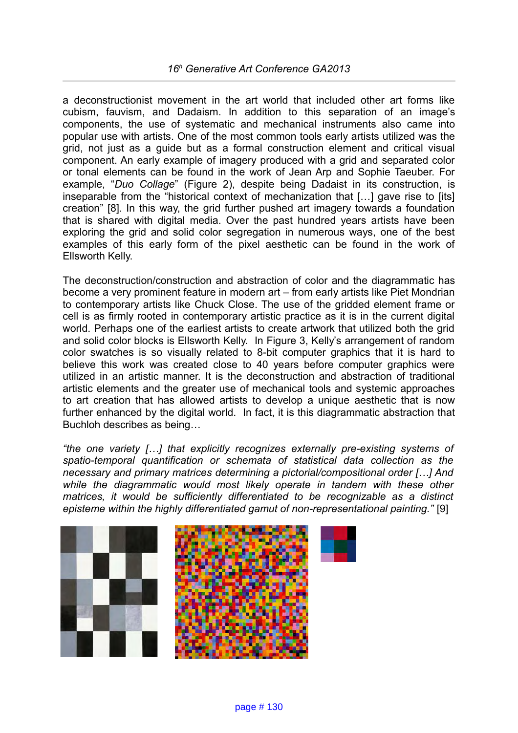### *16<sup>h</sup> Generative Art Conference GA2013*

a deconstructionist movement in the art world that included other art forms like cubism, fauvism, and Dadaism. In addition to this separation of an image's components, the use of systematic and mechanical instruments also came into popular use with artists. One of the most common tools early artists utilized was the grid, not just as a guide but as a formal construction element and critical visual component. An early example of imagery produced with a grid and separated color or tonal elements can be found in the work of Jean Arp and Sophie Taeuber. For example, "*Duo Collage*" (Figure 2), despite being Dadaist in its construction, is inseparable from the "historical context of mechanization that […] gave rise to [its] creation" [8]. In this way, the grid further pushed art imagery towards a foundation that is shared with digital media. Over the past hundred years artists have been exploring the grid and solid color segregation in numerous ways, one of the best examples of this early form of the pixel aesthetic can be found in the work of Ellsworth Kelly.

The deconstruction/construction and abstraction of color and the diagrammatic has become a very prominent feature in modern art – from early artists like Piet Mondrian to contemporary artists like Chuck Close. The use of the gridded element frame or cell is as firmly rooted in contemporary artistic practice as it is in the current digital world. Perhaps one of the earliest artists to create artwork that utilized both the grid and solid color blocks is Ellsworth Kelly. In Figure 3, Kelly's arrangement of random color swatches is so visually related to 8-bit computer graphics that it is hard to believe this work was created close to 40 years before computer graphics were utilized in an artistic manner. It is the deconstruction and abstraction of traditional artistic elements and the greater use of mechanical tools and systemic approaches to art creation that has allowed artists to develop a unique aesthetic that is now further enhanced by the digital world. In fact, it is this diagrammatic abstraction that Buchloh describes as being…

*"the one variety […] that explicitly recognizes externally pre-existing systems of spatio-temporal quantification or schemata of statistical data collection as the necessary and primary matrices determining a pictorial/compositional order […] And while the diagrammatic would most likely operate in tandem with these other matrices, it would be sufficiently differentiated to be recognizable as a distinct episteme within the highly differentiated gamut of non-representational painting."* [9]

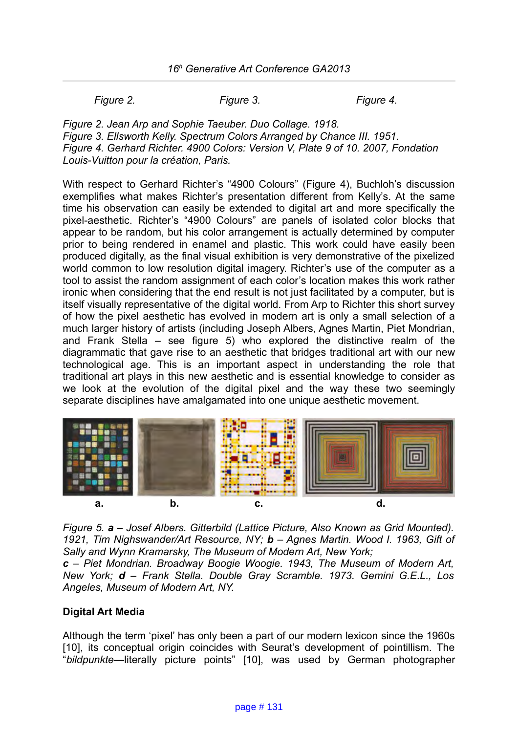*Figure 2. Figure 3. Figure 4.*

*Figure 2. Jean Arp and Sophie Taeuber. Duo Collage. 1918. Figure 3. Ellsworth Kelly. Spectrum Colors Arranged by Chance III. 1951. Figure 4. Gerhard Richter. 4900 Colors: Version V, Plate 9 of 10. 2007, Fondation Louis-Vuitton pour la création, Paris.*

With respect to Gerhard Richter's "4900 Colours" (Figure 4), Buchloh's discussion exemplifies what makes Richter's presentation different from Kelly's. At the same time his observation can easily be extended to digital art and more specifically the pixel-aesthetic. Richter's "4900 Colours" are panels of isolated color blocks that appear to be random, but his color arrangement is actually determined by computer prior to being rendered in enamel and plastic. This work could have easily been produced digitally, as the final visual exhibition is very demonstrative of the pixelized world common to low resolution digital imagery. Richter's use of the computer as a tool to assist the random assignment of each color's location makes this work rather ironic when considering that the end result is not just facilitated by a computer, but is itself visually representative of the digital world. From Arp to Richter this short survey of how the pixel aesthetic has evolved in modern art is only a small selection of a much larger history of artists (including Joseph Albers, Agnes Martin, Piet Mondrian, and Frank Stella – see figure 5) who explored the distinctive realm of the diagrammatic that gave rise to an aesthetic that bridges traditional art with our new technological age. This is an important aspect in understanding the role that traditional art plays in this new aesthetic and is essential knowledge to consider as we look at the evolution of the digital pixel and the way these two seemingly separate disciplines have amalgamated into one unique aesthetic movement.



*Figure 5. a – Josef Albers. Gitterbild (Lattice Picture, Also Known as Grid Mounted). 1921, Tim Nighswander/Art Resource, NY; b – Agnes Martin. Wood I. 1963, Gift of Sally and Wynn Kramarsky, The Museum of Modern Art, New York;* 

*c – Piet Mondrian. Broadway Boogie Woogie. 1943, The Museum of Modern Art, New York; d – Frank Stella. Double Gray Scramble. 1973. Gemini G.E.L., Los Angeles, Museum of Modern Art, NY.*

#### **Digital Art Media**

Although the term 'pixel' has only been a part of our modern lexicon since the 1960s [10], its conceptual origin coincides with Seurat's development of pointillism. The "*bildpunkte—*literally picture points" [10], was used by German photographer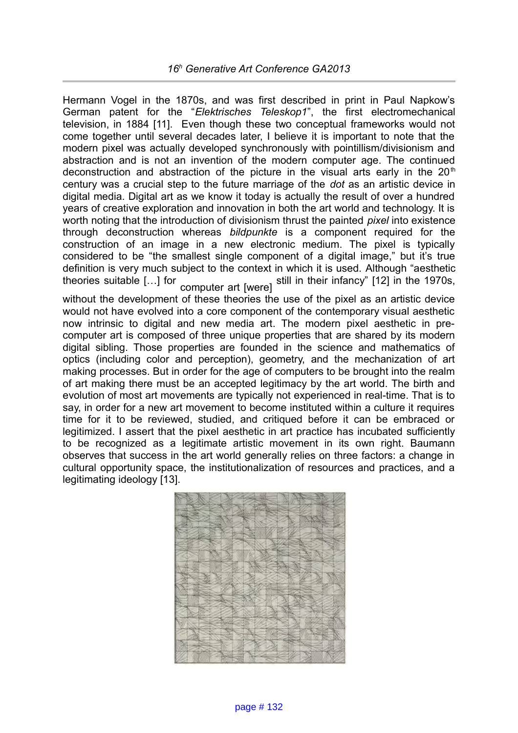Hermann Vogel in the 1870s, and was first described in print in Paul Napkow's German patent for the "*Elektrisches Teleskop1*", the first electromechanical television, in 1884 [11]. Even though these two conceptual frameworks would not come together until several decades later, I believe it is important to note that the modern pixel was actually developed synchronously with pointillism/divisionism and abstraction and is not an invention of the modern computer age. The continued deconstruction and abstraction of the picture in the visual arts early in the  $20<sup>th</sup>$ century was a crucial step to the future marriage of the *dot* as an artistic device in digital media. Digital art as we know it today is actually the result of over a hundred years of creative exploration and innovation in both the art world and technology. It is worth noting that the introduction of divisionism thrust the painted *pixel* into existence through deconstruction whereas *bildpunkte* is a component required for the construction of an image in a new electronic medium. The pixel is typically considered to be "the smallest single component of a digital image," but it's true definition is very much subject to the context in which it is used. Although "aesthetic theories suitable […] for computer art [were] still in their infancy" [12] in the 1970s, without the development of these theories the use of the pixel as an artistic device

would not have evolved into a core component of the contemporary visual aesthetic now intrinsic to digital and new media art. The modern pixel aesthetic in precomputer art is composed of three unique properties that are shared by its modern digital sibling. Those properties are founded in the science and mathematics of optics (including color and perception), geometry, and the mechanization of art making processes. But in order for the age of computers to be brought into the realm of art making there must be an accepted legitimacy by the art world. The birth and evolution of most art movements are typically not experienced in real-time. That is to say, in order for a new art movement to become instituted within a culture it requires time for it to be reviewed, studied, and critiqued before it can be embraced or legitimized. I assert that the pixel aesthetic in art practice has incubated sufficiently to be recognized as a legitimate artistic movement in its own right. Baumann observes that success in the art world generally relies on three factors: a change in cultural opportunity space, the institutionalization of resources and practices, and a legitimating ideology [13].

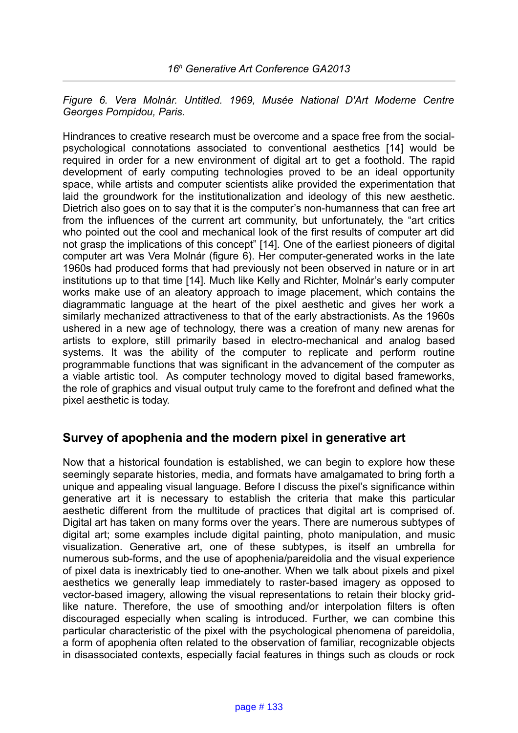*Figure 6. Vera Molnár. Untitled. 1969, Musée National D'Art Moderne Centre Georges Pompidou, Paris.*

Hindrances to creative research must be overcome and a space free from the socialpsychological connotations associated to conventional aesthetics [14] would be required in order for a new environment of digital art to get a foothold. The rapid development of early computing technologies proved to be an ideal opportunity space, while artists and computer scientists alike provided the experimentation that laid the groundwork for the institutionalization and ideology of this new aesthetic. Dietrich also goes on to say that it is the computer's non-humanness that can free art from the influences of the current art community, but unfortunately, the "art critics who pointed out the cool and mechanical look of the first results of computer art did not grasp the implications of this concept" [14]. One of the earliest pioneers of digital computer art was Vera Molnár (figure 6). Her computer-generated works in the late 1960s had produced forms that had previously not been observed in nature or in art institutions up to that time [14]. Much like Kelly and Richter, Molnár's early computer works make use of an aleatory approach to image placement, which contains the diagrammatic language at the heart of the pixel aesthetic and gives her work a similarly mechanized attractiveness to that of the early abstractionists. As the 1960s ushered in a new age of technology, there was a creation of many new arenas for artists to explore, still primarily based in electro-mechanical and analog based systems. It was the ability of the computer to replicate and perform routine programmable functions that was significant in the advancement of the computer as a viable artistic tool. As computer technology moved to digital based frameworks, the role of graphics and visual output truly came to the forefront and defined what the pixel aesthetic is today.

### **Survey of apophenia and the modern pixel in generative art**

Now that a historical foundation is established, we can begin to explore how these seemingly separate histories, media, and formats have amalgamated to bring forth a unique and appealing visual language. Before I discuss the pixel's significance within generative art it is necessary to establish the criteria that make this particular aesthetic different from the multitude of practices that digital art is comprised of. Digital art has taken on many forms over the years. There are numerous subtypes of digital art; some examples include digital painting, photo manipulation, and music visualization. Generative art, one of these subtypes, is itself an umbrella for numerous sub-forms, and the use of apophenia/pareidolia and the visual experience of pixel data is inextricably tied to one-another. When we talk about pixels and pixel aesthetics we generally leap immediately to raster-based imagery as opposed to vector-based imagery, allowing the visual representations to retain their blocky gridlike nature. Therefore, the use of smoothing and/or interpolation filters is often discouraged especially when scaling is introduced. Further, we can combine this particular characteristic of the pixel with the psychological phenomena of pareidolia, a form of apophenia often related to the observation of familiar, recognizable objects in disassociated contexts, especially facial features in things such as clouds or rock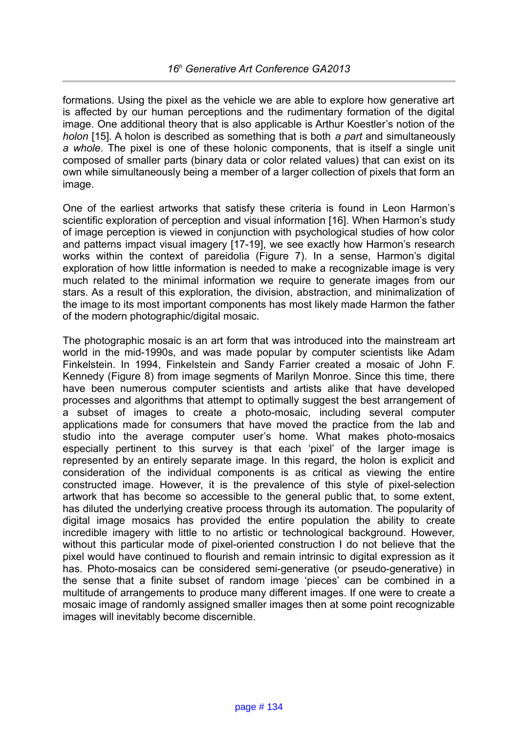formations. Using the pixel as the vehicle we are able to explore how generative art is affected by our human perceptions and the rudimentary formation of the digital image. One additional theory that is also applicable is Arthur Koestler's notion of the *holon* [15]*.* A holon is described as something that is both *a part* and simultaneously *a whole*. The pixel is one of these holonic components, that is itself a single unit composed of smaller parts (binary data or color related values) that can exist on its own while simultaneously being a member of a larger collection of pixels that form an image.

One of the earliest artworks that satisfy these criteria is found in Leon Harmon's scientific exploration of perception and visual information [16]. When Harmon's study of image perception is viewed in conjunction with psychological studies of how color and patterns impact visual imagery [17-19], we see exactly how Harmon's research works within the context of pareidolia (Figure 7). In a sense, Harmon's digital exploration of how little information is needed to make a recognizable image is very much related to the minimal information we require to generate images from our stars. As a result of this exploration, the division, abstraction, and minimalization of the image to its most important components has most likely made Harmon the father of the modern photographic/digital mosaic.

The photographic mosaic is an art form that was introduced into the mainstream art world in the mid-1990s, and was made popular by computer scientists like Adam Finkelstein. In 1994, Finkelstein and Sandy Farrier created a mosaic of John F. Kennedy (Figure 8) from image segments of Marilyn Monroe. Since this time, there have been numerous computer scientists and artists alike that have developed processes and algorithms that attempt to optimally suggest the best arrangement of a subset of images to create a photo-mosaic, including several computer applications made for consumers that have moved the practice from the lab and studio into the average computer user's home. What makes photo-mosaics especially pertinent to this survey is that each 'pixel' of the larger image is represented by an entirely separate image. In this regard, the holon is explicit and consideration of the individual components is as critical as viewing the entire constructed image. However, it is the prevalence of this style of pixel-selection artwork that has become so accessible to the general public that, to some extent, has diluted the underlying creative process through its automation. The popularity of digital image mosaics has provided the entire population the ability to create incredible imagery with little to no artistic or technological background. However, without this particular mode of pixel-oriented construction I do not believe that the pixel would have continued to flourish and remain intrinsic to digital expression as it has. Photo-mosaics can be considered semi-generative (or pseudo-generative) in the sense that a finite subset of random image 'pieces' can be combined in a multitude of arrangements to produce many different images. If one were to create a mosaic image of randomly assigned smaller images then at some point recognizable images will inevitably become discernible.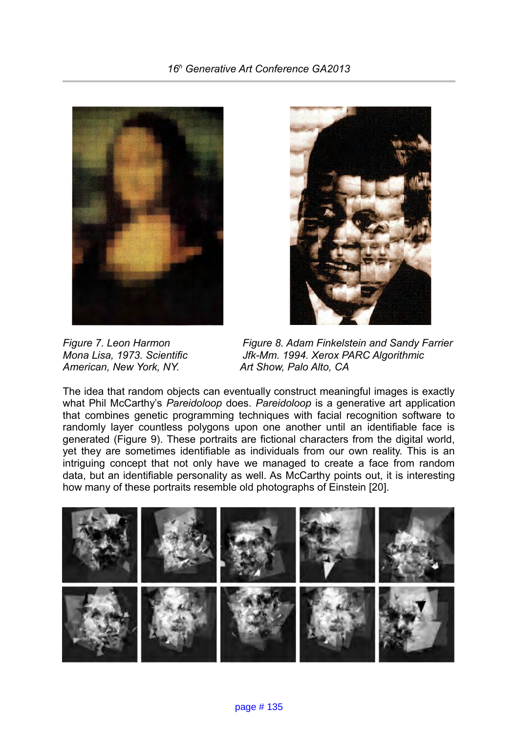



*American, New York, NY.* 

*Figure 7. Leon Harmon* Figure 8. Adam Finkelstein and Sandy Farrier *Mona Lisa, 1973. Scientific Jfk-Mm. 1994. Xerox PARC Algorithmic*<br>American, New York, NY. Art Show, Palo Alto, CA

The idea that random objects can eventually construct meaningful images is exactly what Phil McCarthy's *Pareidoloop* does. *Pareidoloop* is a generative art application that combines genetic programming techniques with facial recognition software to randomly layer countless polygons upon one another until an identifiable face is generated (Figure 9). These portraits are fictional characters from the digital world, yet they are sometimes identifiable as individuals from our own reality. This is an intriguing concept that not only have we managed to create a face from random data, but an identifiable personality as well. As McCarthy points out, it is interesting how many of these portraits resemble old photographs of Einstein [20].

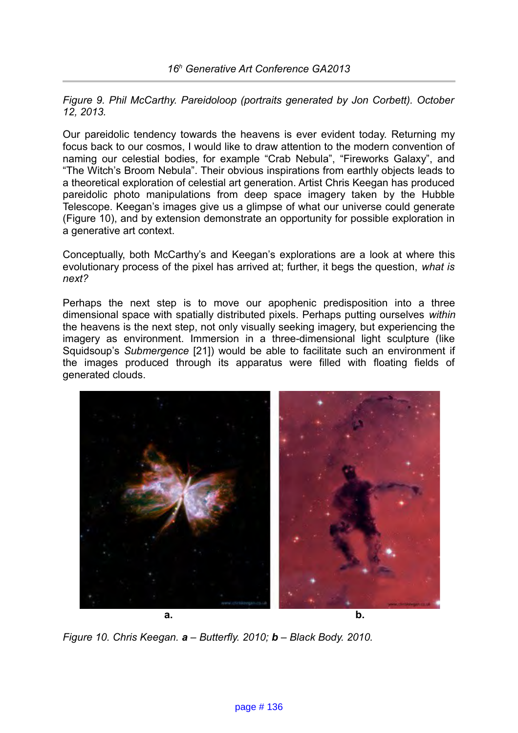*Figure 9. Phil McCarthy. Pareidoloop (portraits generated by Jon Corbett). October 12, 2013.*

Our pareidolic tendency towards the heavens is ever evident today. Returning my focus back to our cosmos, I would like to draw attention to the modern convention of naming our celestial bodies, for example "Crab Nebula", "Fireworks Galaxy", and "The Witch's Broom Nebula". Their obvious inspirations from earthly objects leads to a theoretical exploration of celestial art generation. Artist Chris Keegan has produced pareidolic photo manipulations from deep space imagery taken by the Hubble Telescope. Keegan's images give us a glimpse of what our universe could generate (Figure 10), and by extension demonstrate an opportunity for possible exploration in a generative art context.

Conceptually, both McCarthy's and Keegan's explorations are a look at where this evolutionary process of the pixel has arrived at; further, it begs the question, *what is next?*

Perhaps the next step is to move our apophenic predisposition into a three dimensional space with spatially distributed pixels. Perhaps putting ourselves *within* the heavens is the next step, not only visually seeking imagery, but experiencing the imagery as environment. Immersion in a three-dimensional light sculpture (like Squidsoup's *Submergence* [21]) would be able to facilitate such an environment if the images produced through its apparatus were filled with floating fields of generated clouds.



*Figure 10. Chris Keegan. a – Butterfly. 2010; b – Black Body. 2010.*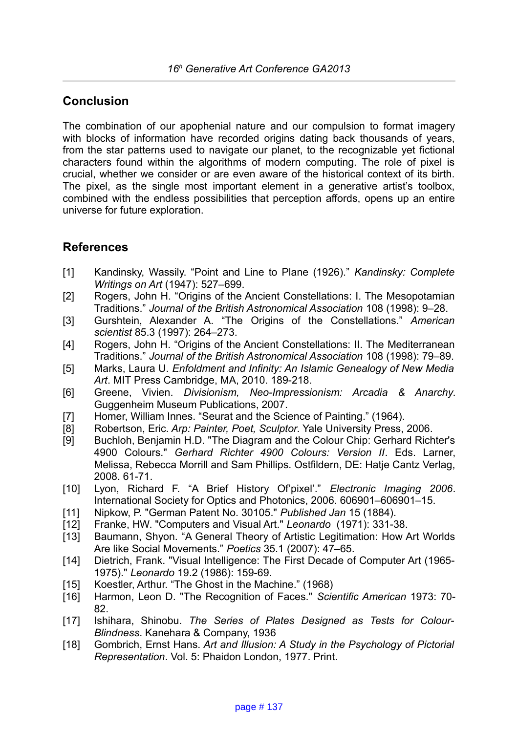## **Conclusion**

The combination of our apophenial nature and our compulsion to format imagery with blocks of information have recorded origins dating back thousands of years, from the star patterns used to navigate our planet, to the recognizable yet fictional characters found within the algorithms of modern computing. The role of pixel is crucial, whether we consider or are even aware of the historical context of its birth. The pixel, as the single most important element in a generative artist's toolbox, combined with the endless possibilities that perception affords, opens up an entire universe for future exploration.

## **References**

- [1] Kandinsky, Wassily. "Point and Line to Plane (1926)." *Kandinsky: Complete Writings on Art* (1947): 527–699.
- [2] Rogers, John H. "Origins of the Ancient Constellations: I. The Mesopotamian Traditions." *Journal of the British Astronomical Association* 108 (1998): 9–28.
- [3] Gurshtein, Alexander A. "The Origins of the Constellations." *American scientist* 85.3 (1997): 264–273.
- [4] Rogers, John H. "Origins of the Ancient Constellations: II. The Mediterranean Traditions." *Journal of the British Astronomical Association* 108 (1998): 79–89.
- [5] Marks, Laura U. *Enfoldment and Infinity: An Islamic Genealogy of New Media Art*. MIT Press Cambridge, MA, 2010. 189-218.
- [6] Greene, Vivien. *Divisionism, Neo-Impressionism: Arcadia & Anarchy*. Guggenheim Museum Publications, 2007.
- [7] Homer, William Innes. "Seurat and the Science of Painting." (1964).
- [8] Robertson, Eric. *Arp: Painter, Poet, Sculptor*. Yale University Press, 2006.
- [9] Buchloh, Benjamin H.D. "The Diagram and the Colour Chip: Gerhard Richter's 4900 Colours." *Gerhard Richter 4900 Colours: Version II*. Eds. Larner, Melissa, Rebecca Morrill and Sam Phillips. Ostfildern, DE: Hatje Cantz Verlag, 2008. 61-71.
- [10] Lyon, Richard F. "A Brief History Of'pixel'." *Electronic Imaging 2006*. International Society for Optics and Photonics, 2006. 606901–606901–15.
- [11] Nipkow, P. "German Patent No. 30105." *Published Jan* 15 (1884).
- [12] Franke, HW. "Computers and Visual Art." *Leonardo* (1971): 331-38.
- [13] Baumann, Shyon. "A General Theory of Artistic Legitimation: How Art Worlds Are like Social Movements." *Poetics* 35.1 (2007): 47–65.
- [14] Dietrich, Frank. "Visual Intelligence: The First Decade of Computer Art (1965- 1975)." *Leonardo* 19.2 (1986): 159-69.
- [15] Koestler, Arthur. "The Ghost in the Machine." (1968)
- [16] Harmon, Leon D. "The Recognition of Faces." *Scientific American* 1973: 70- 82.
- [17] Ishihara, Shinobu. *The Series of Plates Designed as Tests for Colour-Blindness*. Kanehara & Company, 1936
- [18] Gombrich, Ernst Hans. Art and Illusion: A Study in the Psychology of Pictorial *Representation*. Vol. 5: Phaidon London, 1977. Print.